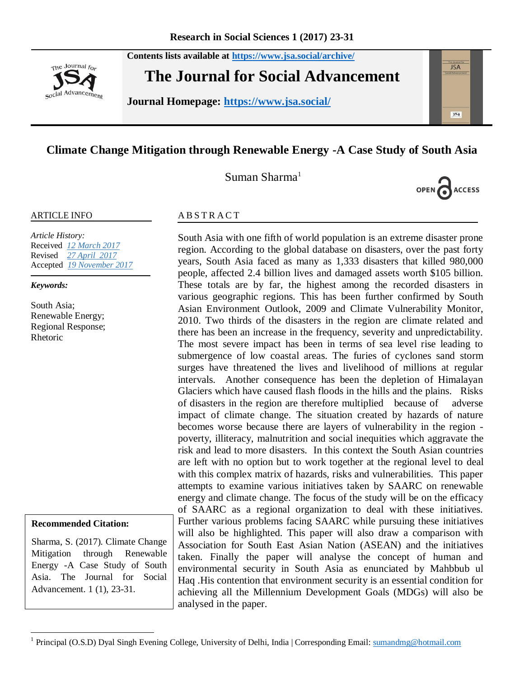**Contents lists available at <https://www.jsa.social/archive/>**



**The Journal for Social Advancement** 

**Journal Homepage: <https://www.jsa.social/>**



# **Climate Change Mitigation through Renewable Energy -A Case Study of South Asia**

Suman Sharma $<sup>1</sup>$ </sup>



#### ARTICLE INFO

*Article History:*  Received *12 March 2017* Revised *27 April 2017* Accepted *19 November 2017*

*Keywords:* 

South Asia; Renewable Energy; Regional Response; Rhetoric

# **Recommended Citation:**

 $\overline{\phantom{a}}$ 

Sharma, S. (2017). Climate Change Mitigation through Renewable Energy -A Case Study of South Asia. The Journal for Social Advancement. 1 (1), 23-31.

#### **ABSTRACT**

South Asia with one fifth of world population is an extreme disaster prone region. According to the global database on disasters, over the past forty years, South Asia faced as many as 1,333 disasters that killed 980,000 people, affected 2.4 billion lives and damaged assets worth \$105 billion. These totals are by far, the highest among the recorded disasters in various geographic regions. This has been further confirmed by South Asian Environment Outlook, 2009 and Climate Vulnerability Monitor, 2010. Two thirds of the disasters in the region are climate related and there has been an increase in the frequency, severity and unpredictability. The most severe impact has been in terms of sea level rise leading to submergence of low coastal areas. The furies of cyclones sand storm surges have threatened the lives and livelihood of millions at regular intervals. Another consequence has been the depletion of Himalayan Glaciers which have caused flash floods in the hills and the plains. Risks of disasters in the region are therefore multiplied because of adverse impact of climate change. The situation created by hazards of nature becomes worse because there are layers of vulnerability in the region poverty, illiteracy, malnutrition and social inequities which aggravate the risk and lead to more disasters. In this context the South Asian countries are left with no option but to work together at the regional level to deal with this complex matrix of hazards, risks and vulnerabilities. This paper attempts to examine various initiatives taken by SAARC on renewable energy and climate change. The focus of the study will be on the efficacy of SAARC as a regional organization to deal with these initiatives. Further various problems facing SAARC while pursuing these initiatives will also be highlighted. This paper will also draw a comparison with Association for South East Asian Nation (ASEAN) and the initiatives taken. Finally the paper will analyse the concept of human and environmental security in South Asia as enunciated by Mahbbub ul Haq .His contention that environment security is an essential condition for achieving all the Millennium Development Goals (MDGs) will also be analysed in the paper.

<sup>&</sup>lt;sup>1</sup> Principal (O.S.D) Dyal Singh Evening College, University of Delhi, India | Corresponding Email[: sumandmg@hotmail.com](mailto:sumandmg@hotmail.com)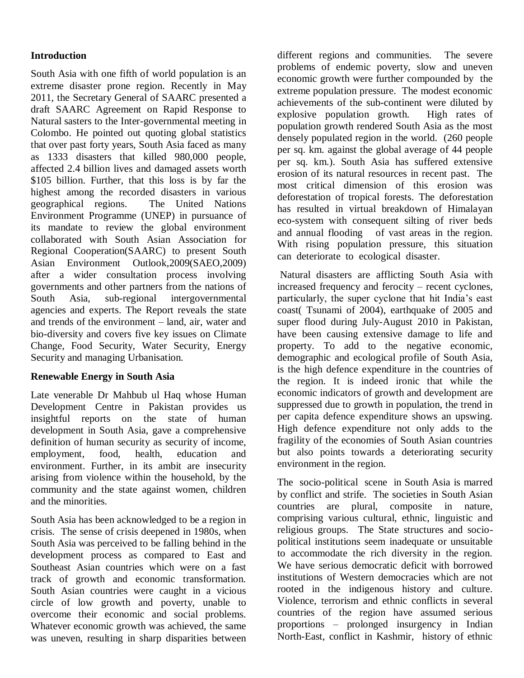# **Introduction**

South Asia with one fifth of world population is an extreme disaster prone region. Recently in May 2011, the Secretary General of SAARC presented a draft SAARC Agreement on Rapid Response to Natural sasters to the Inter-governmental meeting in Colombo. He pointed out quoting global statistics that over past forty years, South Asia faced as many as 1333 disasters that killed 980,000 people, affected 2.4 billion lives and damaged assets worth \$105 billion. Further, that this loss is by far the highest among the recorded disasters in various geographical regions. The United Nations Environment Programme (UNEP) in pursuance of its mandate to review the global environment collaborated with South Asian Association for Regional Cooperation(SAARC) to present South Asian Environment Outlook,2009(SAEO,2009) after a wider consultation process involving governments and other partners from the nations of South Asia, sub-regional intergovernmental agencies and experts. The Report reveals the state and trends of the environment – land, air, water and bio-diversity and covers five key issues on Climate Change, Food Security, Water Security, Energy Security and managing Urbanisation.

# **Renewable Energy in South Asia**

Late venerable Dr Mahbub ul Haq whose Human Development Centre in Pakistan provides us insightful reports on the state of human development in South Asia, gave a comprehensive definition of human security as security of income,<br>employment. food, health, education and employment, food, health, education and environment. Further, in its ambit are insecurity arising from violence within the household, by the community and the state against women, children and the minorities.

South Asia has been acknowledged to be a region in crisis. The sense of crisis deepened in 1980s, when South Asia was perceived to be falling behind in the development process as compared to East and Southeast Asian countries which were on a fast track of growth and economic transformation. South Asian countries were caught in a vicious circle of low growth and poverty, unable to overcome their economic and social problems. Whatever economic growth was achieved, the same was uneven, resulting in sharp disparities between different regions and communities. The severe problems of endemic poverty, slow and uneven economic growth were further compounded by the extreme population pressure. The modest economic achievements of the sub-continent were diluted by explosive population growth. High rates of population growth rendered South Asia as the most densely populated region in the world. (260 people per sq. km. against the global average of 44 people per sq. km.). South Asia has suffered extensive erosion of its natural resources in recent past. The most critical dimension of this erosion was deforestation of tropical forests. The deforestation has resulted in virtual breakdown of Himalayan eco-system with consequent silting of river beds and annual flooding of vast areas in the region. With rising population pressure, this situation can deteriorate to ecological disaster.

Natural disasters are afflicting South Asia with increased frequency and ferocity – recent cyclones, particularly, the super cyclone that hit India's east coast( Tsunami of 2004), earthquake of 2005 and super flood during July-August 2010 in Pakistan, have been causing extensive damage to life and property. To add to the negative economic, demographic and ecological profile of South Asia, is the high defence expenditure in the countries of the region. It is indeed ironic that while the economic indicators of growth and development are suppressed due to growth in population, the trend in per capita defence expenditure shows an upswing. High defence expenditure not only adds to the fragility of the economies of South Asian countries but also points towards a deteriorating security environment in the region.

The socio-political scene in South Asia is marred by conflict and strife. The societies in South Asian countries are plural, composite in nature, comprising various cultural, ethnic, linguistic and religious groups. The State structures and sociopolitical institutions seem inadequate or unsuitable to accommodate the rich diversity in the region. We have serious democratic deficit with borrowed institutions of Western democracies which are not rooted in the indigenous history and culture. Violence, terrorism and ethnic conflicts in several countries of the region have assumed serious proportions – prolonged insurgency in Indian North-East, conflict in Kashmir, history of ethnic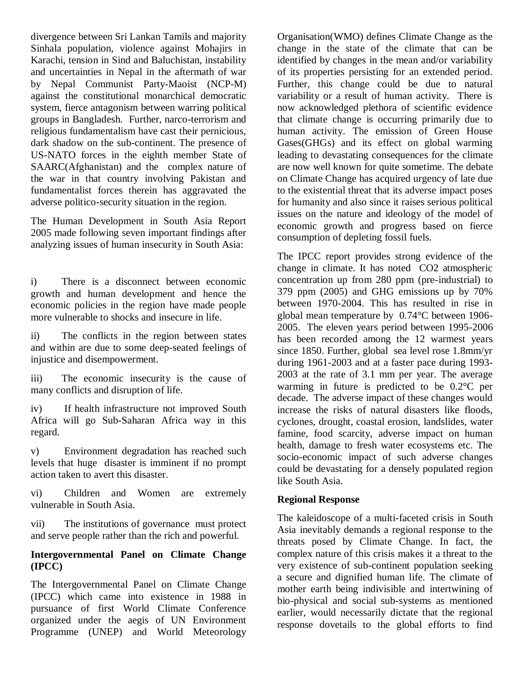divergence between Sri Lankan Tamils and majority Sinhala population, violence against Mohajirs in Karachi, tension in Sind and Baluchistan, instability and uncertainties in Nepal in the aftermath of war by Nepal Communist Party-Maoist (NCP-M) against the constitutional monarchical democratic system, fierce antagonism between warring political groups in Bangladesh. Further, narco-terrorism and religious fundamentalism have cast their pernicious, dark shadow on the sub-continent. The presence of US-NATO forces in the eighth member State of SAARC(Afghanistan) and the complex nature of the war in that country involving Pakistan and fundamentalist forces therein has aggravated the adverse politico-security situation in the region.

The Human Development in South Asia Report 2005 made following seven important findings after analyzing issues of human insecurity in South Asia:

i) There is a disconnect between economic growth and human development and hence the economic policies in the region have made people more vulnerable to shocks and insecure in life.

ii) The conflicts in the region between states and within are due to some deep-seated feelings of injustice and disempowerment.

iii) The economic insecurity is the cause of many conflicts and disruption of life.

iv) If health infrastructure not improved South Africa will go Sub-Saharan Africa way in this regard.

v) Environment degradation has reached such levels that huge disaster is imminent if no prompt action taken to avert this disaster.

vi) Children and Women are extremely vulnerable in South Asia.

vii) The institutions of governance must protect and serve people rather than the rich and powerful.

#### **Intergovernmental Panel on Climate Change (IPCC)**

The Intergovernmental Panel on Climate Change (IPCC) which came into existence in 1988 in pursuance of first World Climate Conference organized under the aegis of UN Environment Programme (UNEP) and World Meteorology Organisation(WMO) defines Climate Change as the change in the state of the climate that can be identified by changes in the mean and/or variability of its properties persisting for an extended period. Further, this change could be due to natural variability or a result of human activity. There is now acknowledged plethora of scientific evidence that climate change is occurring primarily due to human activity. The emission of Green House Gases(GHGs) and its effect on global warming leading to devastating consequences for the climate are now well known for quite sometime. The debate on Climate Change has acquired urgency of late due to the existential threat that its adverse impact poses for humanity and also since it raises serious political issues on the nature and ideology of the model of economic growth and progress based on fierce consumption of depleting fossil fuels.

The IPCC report provides strong evidence of the change in climate. It has noted CO2 atmospheric concentration up from 280 ppm (pre-industrial) to 379 ppm (2005) and GHG emissions up by 70% between 1970-2004. This has resulted in rise in global mean temperature by 0.74°C between 1906- 2005. The eleven years period between 1995-2006 has been recorded among the 12 warmest years since 1850. Further, global sea level rose 1.8mm/yr during 1961-2003 and at a faster pace during 1993- 2003 at the rate of 3.1 mm per year. The average warming in future is predicted to be 0.2°C per decade. The adverse impact of these changes would increase the risks of natural disasters like floods, cyclones, drought, coastal erosion, landslides, water famine, food scarcity, adverse impact on human health, damage to fresh water ecosystems etc. The socio-economic impact of such adverse changes could be devastating for a densely populated region like South Asia.

# **Regional Response**

The kaleidoscope of a multi-faceted crisis in South Asia inevitably demands a regional response to the threats posed by Climate Change. In fact, the complex nature of this crisis makes it a threat to the very existence of sub-continent population seeking a secure and dignified human life. The climate of mother earth being indivisible and intertwining of bio-physical and social sub-systems as mentioned earlier, would necessarily dictate that the regional response dovetails to the global efforts to find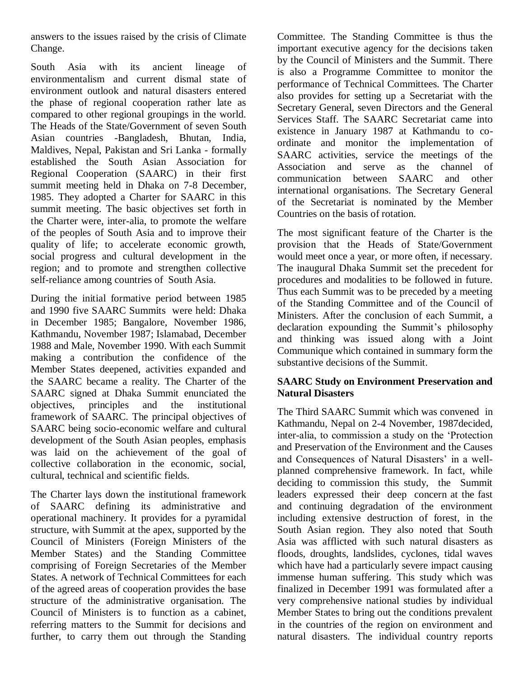answers to the issues raised by the crisis of Climate Change.

South Asia with its ancient lineage of environmentalism and current dismal state of environment outlook and natural disasters entered the phase of regional cooperation rather late as compared to other regional groupings in the world. The Heads of the State/Government of seven South Asian countries -Bangladesh, Bhutan, India, Maldives, Nepal, Pakistan and Sri Lanka - formally established the South Asian Association for Regional Cooperation (SAARC) in their first summit meeting held in Dhaka on 7-8 December, 1985. They adopted a Charter for SAARC in this summit meeting. The basic objectives set forth in the Charter were, inter-alia, to promote the welfare of the peoples of South Asia and to improve their quality of life; to accelerate economic growth, social progress and cultural development in the region; and to promote and strengthen collective self-reliance among countries of South Asia.

During the initial formative period between 1985 and 1990 five SAARC Summits were held: Dhaka in December 1985; Bangalore, November 1986, Kathmandu, November 1987; Islamabad, December 1988 and Male, November 1990. With each Summit making a contribution the confidence of the Member States deepened, activities expanded and the SAARC became a reality. The Charter of the SAARC signed at Dhaka Summit enunciated the objectives, principles and the institutional framework of SAARC. The principal objectives of SAARC being socio-economic welfare and cultural development of the South Asian peoples, emphasis was laid on the achievement of the goal of collective collaboration in the economic, social, cultural, technical and scientific fields.

The Charter lays down the institutional framework of SAARC defining its administrative and operational machinery. It provides for a pyramidal structure, with Summit at the apex, supported by the Council of Ministers (Foreign Ministers of the Member States) and the Standing Committee comprising of Foreign Secretaries of the Member States. A network of Technical Committees for each of the agreed areas of cooperation provides the base structure of the administrative organisation. The Council of Ministers is to function as a cabinet, referring matters to the Summit for decisions and further, to carry them out through the Standing

Committee. The Standing Committee is thus the important executive agency for the decisions taken by the Council of Ministers and the Summit. There is also a Programme Committee to monitor the performance of Technical Committees. The Charter also provides for setting up a Secretariat with the Secretary General, seven Directors and the General Services Staff. The SAARC Secretariat came into existence in January 1987 at Kathmandu to coordinate and monitor the implementation of SAARC activities, service the meetings of the Association and serve as the channel of communication between SAARC and other international organisations. The Secretary General of the Secretariat is nominated by the Member Countries on the basis of rotation.

The most significant feature of the Charter is the provision that the Heads of State/Government would meet once a year, or more often, if necessary. The inaugural Dhaka Summit set the precedent for procedures and modalities to be followed in future. Thus each Summit was to be preceded by a meeting of the Standing Committee and of the Council of Ministers. After the conclusion of each Summit, a declaration expounding the Summit's philosophy and thinking was issued along with a Joint Communique which contained in summary form the substantive decisions of the Summit.

# **SAARC Study on Environment Preservation and Natural Disasters**

The Third SAARC Summit which was convened in Kathmandu, Nepal on 2-4 November, 1987decided, inter-alia, to commission a study on the 'Protection and Preservation of the Environment and the Causes and Consequences of Natural Disasters' in a wellplanned comprehensive framework. In fact, while deciding to commission this study, the Summit leaders expressed their deep concern at the fast and continuing degradation of the environment including extensive destruction of forest, in the South Asian region. They also noted that South Asia was afflicted with such natural disasters as floods, droughts, landslides, cyclones, tidal waves which have had a particularly severe impact causing immense human suffering. This study which was finalized in December 1991 was formulated after a very comprehensive national studies by individual Member States to bring out the conditions prevalent in the countries of the region on environment and natural disasters. The individual country reports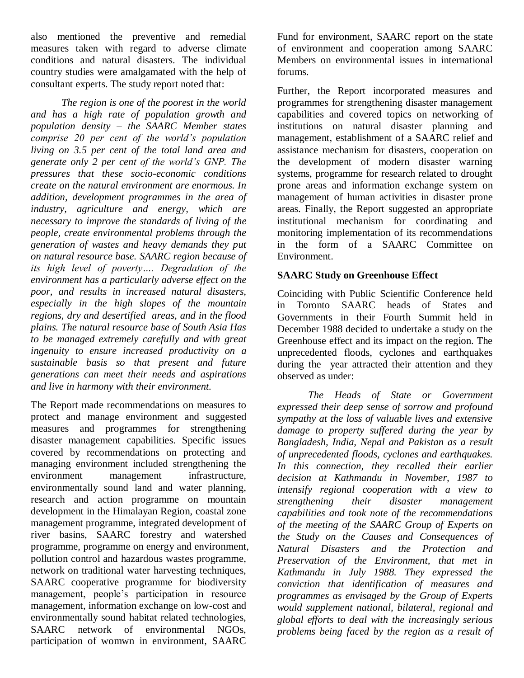also mentioned the preventive and remedial measures taken with regard to adverse climate conditions and natural disasters. The individual country studies were amalgamated with the help of consultant experts. The study report noted that:

*The region is one of the poorest in the world and has a high rate of population growth and population density – the SAARC Member states comprise 20 per cent of the world's population living on 3.5 per cent of the total land area and generate only 2 per cent of the world's GNP. The pressures that these socio-economic conditions create on the natural environment are enormous. In addition, development programmes in the area of industry, agriculture and energy, which are necessary to improve the standards of living of the people, create environmental problems through the generation of wastes and heavy demands they put on natural resource base. SAARC region because of its high level of poverty…. Degradation of the environment has a particularly adverse effect on the poor, and results in increased natural disasters, especially in the high slopes of the mountain regions, dry and desertified areas, and in the flood plains. The natural resource base of South Asia Has to be managed extremely carefully and with great ingenuity to ensure increased productivity on a sustainable basis so that present and future generations can meet their needs and aspirations and live in harmony with their environment.*

The Report made recommendations on measures to protect and manage environment and suggested measures and programmes for strengthening disaster management capabilities. Specific issues covered by recommendations on protecting and managing environment included strengthening the environment management infrastructure, environmentally sound land and water planning, research and action programme on mountain development in the Himalayan Region, coastal zone management programme, integrated development of river basins, SAARC forestry and watershed programme, programme on energy and environment, pollution control and hazardous wastes programme, network on traditional water harvesting techniques, SAARC cooperative programme for biodiversity management, people's participation in resource management, information exchange on low-cost and environmentally sound habitat related technologies, SAARC network of environmental NGOs, participation of womwn in environment, SAARC

Fund for environment, SAARC report on the state of environment and cooperation among SAARC Members on environmental issues in international forums.

Further, the Report incorporated measures and programmes for strengthening disaster management capabilities and covered topics on networking of institutions on natural disaster planning and management, establishment of a SAARC relief and assistance mechanism for disasters, cooperation on the development of modern disaster warning systems, programme for research related to drought prone areas and information exchange system on management of human activities in disaster prone areas. Finally, the Report suggested an appropriate institutional mechanism for coordinating and monitoring implementation of its recommendations in the form of a SAARC Committee on Environment.

# **SAARC Study on Greenhouse Effect**

Coinciding with Public Scientific Conference held in Toronto SAARC heads of States and Governments in their Fourth Summit held in December 1988 decided to undertake a study on the Greenhouse effect and its impact on the region. The unprecedented floods, cyclones and earthquakes during the year attracted their attention and they observed as under:

*The Heads of State or Government expressed their deep sense of sorrow and profound sympathy at the loss of valuable lives and extensive damage to property suffered during the year by Bangladesh, India, Nepal and Pakistan as a result of unprecedented floods, cyclones and earthquakes. In this connection, they recalled their earlier decision at Kathmandu in November, 1987 to intensify regional cooperation with a view to strengthening their disaster management capabilities and took note of the recommendations of the meeting of the SAARC Group of Experts on the Study on the Causes and Consequences of Natural Disasters and the Protection and Preservation of the Environment, that met in Kathmandu in July 1988. They expressed the conviction that identification of measures and programmes as envisaged by the Group of Experts would supplement national, bilateral, regional and global efforts to deal with the increasingly serious problems being faced by the region as a result of*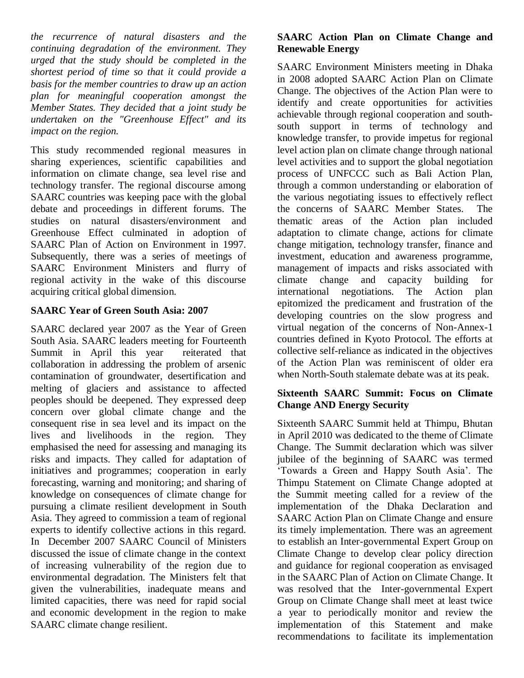*the recurrence of natural disasters and the continuing degradation of the environment. They urged that the study should be completed in the shortest period of time so that it could provide a basis for the member countries to draw up an action plan for meaningful cooperation amongst the Member States. They decided that a joint study be undertaken on the "Greenhouse Effect" and its impact on the region.*

This study recommended regional measures in sharing experiences, scientific capabilities and information on climate change, sea level rise and technology transfer. The regional discourse among SAARC countries was keeping pace with the global debate and proceedings in different forums. The studies on natural disasters/environment and Greenhouse Effect culminated in adoption of SAARC Plan of Action on Environment in 1997. Subsequently, there was a series of meetings of SAARC Environment Ministers and flurry of regional activity in the wake of this discourse acquiring critical global dimension.

# **SAARC Year of Green South Asia: 2007**

SAARC declared year 2007 as the Year of Green South Asia. SAARC leaders meeting for Fourteenth Summit in April this year reiterated that collaboration in addressing the problem of arsenic contamination of groundwater, desertification and melting of glaciers and assistance to affected peoples should be deepened. They expressed deep concern over global climate change and the consequent rise in sea level and its impact on the lives and livelihoods in the region. They emphasised the need for assessing and managing its risks and impacts. They called for adaptation of initiatives and programmes; cooperation in early forecasting, warning and monitoring; and sharing of knowledge on consequences of climate change for pursuing a climate resilient development in South Asia. They agreed to commission a team of regional experts to identify collective actions in this regard. In December 2007 SAARC Council of Ministers discussed the issue of climate change in the context of increasing vulnerability of the region due to environmental degradation. The Ministers felt that given the vulnerabilities, inadequate means and limited capacities, there was need for rapid social and economic development in the region to make SAARC climate change resilient.

# **SAARC Action Plan on Climate Change and Renewable Energy**

SAARC Environment Ministers meeting in Dhaka in 2008 adopted SAARC Action Plan on Climate Change. The objectives of the Action Plan were to identify and create opportunities for activities achievable through regional cooperation and southsouth support in terms of technology and knowledge transfer, to provide impetus for regional level action plan on climate change through national level activities and to support the global negotiation process of UNFCCC such as Bali Action Plan, through a common understanding or elaboration of the various negotiating issues to effectively reflect the concerns of SAARC Member States. The thematic areas of the Action plan included adaptation to climate change, actions for climate change mitigation, technology transfer, finance and investment, education and awareness programme, management of impacts and risks associated with climate change and capacity building for international negotiations. The Action plan epitomized the predicament and frustration of the developing countries on the slow progress and virtual negation of the concerns of Non-Annex-1 countries defined in Kyoto Protocol. The efforts at collective self-reliance as indicated in the objectives of the Action Plan was reminiscent of older era when North-South stalemate debate was at its peak.

#### **Sixteenth SAARC Summit: Focus on Climate Change AND Energy Security**

Sixteenth SAARC Summit held at Thimpu, Bhutan in April 2010 was dedicated to the theme of Climate Change. The Summit declaration which was silver jubilee of the beginning of SAARC was termed 'Towards a Green and Happy South Asia'. The Thimpu Statement on Climate Change adopted at the Summit meeting called for a review of the implementation of the Dhaka Declaration and SAARC Action Plan on Climate Change and ensure its timely implementation. There was an agreement to establish an Inter-governmental Expert Group on Climate Change to develop clear policy direction and guidance for regional cooperation as envisaged in the SAARC Plan of Action on Climate Change. It was resolved that the Inter-governmental Expert Group on Climate Change shall meet at least twice a year to periodically monitor and review the implementation of this Statement and make recommendations to facilitate its implementation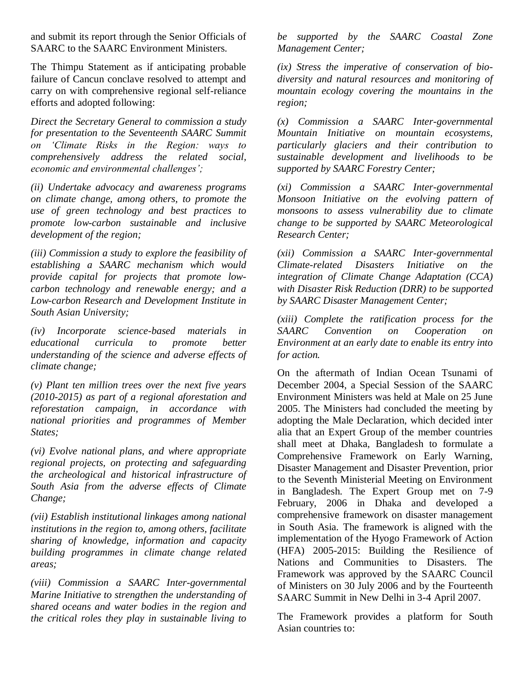and submit its report through the Senior Officials of SAARC to the SAARC Environment Ministers.

The Thimpu Statement as if anticipating probable failure of Cancun conclave resolved to attempt and carry on with comprehensive regional self-reliance efforts and adopted following:

*Direct the Secretary General to commission a study for presentation to the Seventeenth SAARC Summit on 'Climate Risks in the Region: ways to comprehensively address the related social, economic and environmental challenges';*

*(ii) Undertake advocacy and awareness programs on climate change, among others, to promote the use of green technology and best practices to promote low-carbon sustainable and inclusive development of the region;*

*(iii) Commission a study to explore the feasibility of establishing a SAARC mechanism which would provide capital for projects that promote lowcarbon technology and renewable energy; and a Low-carbon Research and Development Institute in South Asian University;*

*(iv) Incorporate science-based materials in educational curricula to promote better understanding of the science and adverse effects of climate change;*

*(v) Plant ten million trees over the next five years (2010-2015) as part of a regional aforestation and reforestation campaign, in accordance with national priorities and programmes of Member States;*

*(vi) Evolve national plans, and where appropriate regional projects, on protecting and safeguarding the archeological and historical infrastructure of South Asia from the adverse effects of Climate Change;*

*(vii) Establish institutional linkages among national institutions in the region to, among others, facilitate sharing of knowledge, information and capacity building programmes in climate change related areas;*

*(viii) Commission a SAARC Inter-governmental Marine Initiative to strengthen the understanding of shared oceans and water bodies in the region and the critical roles they play in sustainable living to* 

*be supported by the SAARC Coastal Zone Management Center;*

*(ix) Stress the imperative of conservation of biodiversity and natural resources and monitoring of mountain ecology covering the mountains in the region;*

*(x) Commission a SAARC Inter-governmental Mountain Initiative on mountain ecosystems, particularly glaciers and their contribution to sustainable development and livelihoods to be supported by SAARC Forestry Center;*

*(xi) Commission a SAARC Inter-governmental Monsoon Initiative on the evolving pattern of monsoons to assess vulnerability due to climate change to be supported by SAARC Meteorological Research Center;*

*(xii) Commission a SAARC Inter-governmental Climate-related Disasters Initiative on the integration of Climate Change Adaptation (CCA) with Disaster Risk Reduction (DRR) to be supported by SAARC Disaster Management Center;*

*(xiii) Complete the ratification process for the SAARC Convention on Cooperation on Environment at an early date to enable its entry into for action.* 

On the aftermath of Indian Ocean Tsunami of December 2004, a Special Session of the SAARC Environment Ministers was held at Male on 25 June 2005. The Ministers had concluded the meeting by adopting the Male Declaration, which decided inter alia that an Expert Group of the member countries shall meet at Dhaka, Bangladesh to formulate a Comprehensive Framework on Early Warning, Disaster Management and Disaster Prevention, prior to the Seventh Ministerial Meeting on Environment in Bangladesh. The Expert Group met on 7-9 February, 2006 in Dhaka and developed a comprehensive framework on disaster management in South Asia. The framework is aligned with the implementation of the Hyogo Framework of Action (HFA) 2005-2015: Building the Resilience of Nations and Communities to Disasters. The Framework was approved by the SAARC Council of Ministers on 30 July 2006 and by the Fourteenth SAARC Summit in New Delhi in 3-4 April 2007.

The Framework provides a platform for South Asian countries to: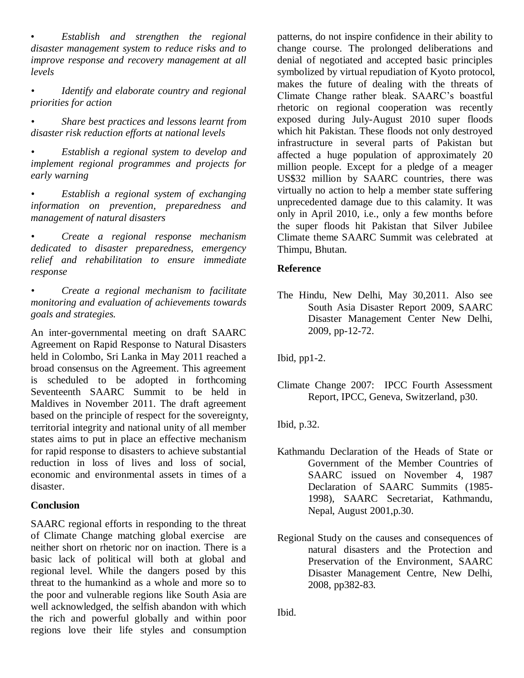• *Establish and strengthen the regional disaster management system to reduce risks and to improve response and recovery management at all levels* 

*• Identify and elaborate country and regional priorities for action* 

*• Share best practices and lessons learnt from disaster risk reduction efforts at national levels* 

*• Establish a regional system to develop and implement regional programmes and projects for early warning* 

*• Establish a regional system of exchanging information on prevention, preparedness and management of natural disasters* 

*• Create a regional response mechanism dedicated to disaster preparedness, emergency relief and rehabilitation to ensure immediate response* 

*• Create a regional mechanism to facilitate monitoring and evaluation of achievements towards goals and strategies.*

An inter-governmental meeting on draft SAARC Agreement on Rapid Response to Natural Disasters held in Colombo, Sri Lanka in May 2011 reached a broad consensus on the Agreement. This agreement is scheduled to be adopted in forthcoming Seventeenth SAARC Summit to be held in Maldives in November 2011. The draft agreement based on the principle of respect for the sovereignty, territorial integrity and national unity of all member states aims to put in place an effective mechanism for rapid response to disasters to achieve substantial reduction in loss of lives and loss of social, economic and environmental assets in times of a disaster.

#### **Conclusion**

SAARC regional efforts in responding to the threat of Climate Change matching global exercise are neither short on rhetoric nor on inaction. There is a basic lack of political will both at global and regional level. While the dangers posed by this threat to the humankind as a whole and more so to the poor and vulnerable regions like South Asia are well acknowledged, the selfish abandon with which the rich and powerful globally and within poor regions love their life styles and consumption patterns, do not inspire confidence in their ability to change course. The prolonged deliberations and denial of negotiated and accepted basic principles symbolized by virtual repudiation of Kyoto protocol, makes the future of dealing with the threats of Climate Change rather bleak. SAARC's boastful rhetoric on regional cooperation was recently exposed during July-August 2010 super floods which hit Pakistan. These floods not only destroyed infrastructure in several parts of Pakistan but affected a huge population of approximately 20 million people. Except for a pledge of a meager US\$32 million by SAARC countries, there was virtually no action to help a member state suffering unprecedented damage due to this calamity. It was only in April 2010, i.e., only a few months before the super floods hit Pakistan that Silver Jubilee Climate theme SAARC Summit was celebrated at Thimpu, Bhutan.

#### **Reference**

The Hindu, New Delhi, May 30,2011. Also see South Asia Disaster Report 2009, SAARC Disaster Management Center New Delhi, 2009, pp-12-72.

Ibid, pp1-2.

Climate Change 2007: IPCC Fourth Assessment Report, IPCC, Geneva, Switzerland, p30.

Ibid, p.32.

- Kathmandu Declaration of the Heads of State or Government of the Member Countries of SAARC issued on November 4, 1987 Declaration of SAARC Summits (1985- 1998), SAARC Secretariat, Kathmandu, Nepal, August 2001,p.30.
- Regional Study on the causes and consequences of natural disasters and the Protection and Preservation of the Environment, SAARC Disaster Management Centre, New Delhi, 2008, pp382-83.

Ibid.